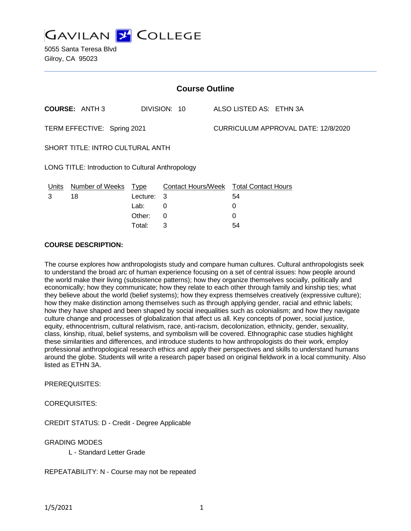

5055 Santa Teresa Blvd Gilroy, CA 95023

| <b>Course Outline</b>                             |                        |             |                                        |  |                                     |  |  |
|---------------------------------------------------|------------------------|-------------|----------------------------------------|--|-------------------------------------|--|--|
|                                                   | <b>COURSE: ANTH 3</b>  |             | DIVISION: 10                           |  | ALSO LISTED AS: ETHN 3A             |  |  |
| TERM EFFECTIVE: Spring 2021                       |                        |             |                                        |  | CURRICULUM APPROVAL DATE: 12/8/2020 |  |  |
| SHORT TITLE: INTRO CULTURAL ANTH                  |                        |             |                                        |  |                                     |  |  |
| LONG TITLE: Introduction to Cultural Anthropology |                        |             |                                        |  |                                     |  |  |
| <u>Units</u>                                      | <b>Number of Weeks</b> | <u>Type</u> | Contact Hours/Week Total Contact Hours |  |                                     |  |  |
| 3                                                 | 18                     | Lecture:    | 3                                      |  | 54                                  |  |  |
|                                                   |                        | Lab:        | 0                                      |  | 0                                   |  |  |
|                                                   |                        | Other:      | $\Omega$                               |  | 0                                   |  |  |
|                                                   |                        | Total:      | 3                                      |  | 54                                  |  |  |

#### **COURSE DESCRIPTION:**

The course explores how anthropologists study and compare human cultures. Cultural anthropologists seek to understand the broad arc of human experience focusing on a set of central issues: how people around the world make their living (subsistence patterns); how they organize themselves socially, politically and economically; how they communicate; how they relate to each other through family and kinship ties; what they believe about the world (belief systems); how they express themselves creatively (expressive culture); how they make distinction among themselves such as through applying gender, racial and ethnic labels; how they have shaped and been shaped by social inequalities such as colonialism; and how they navigate culture change and processes of globalization that affect us all. Key concepts of power, social justice, equity, ethnocentrism, cultural relativism, race, anti-racism, decolonization, ethnicity, gender, sexuality, class, kinship, ritual, belief systems, and symbolism will be covered. Ethnographic case studies highlight these similarities and differences, and introduce students to how anthropologists do their work, employ professional anthropological research ethics and apply their perspectives and skills to understand humans around the globe. Students will write a research paper based on original fieldwork in a local community. Also listed as ETHN 3A.

PREREQUISITES:

COREQUISITES:

CREDIT STATUS: D - Credit - Degree Applicable

GRADING MODES

L - Standard Letter Grade

REPEATABILITY: N - Course may not be repeated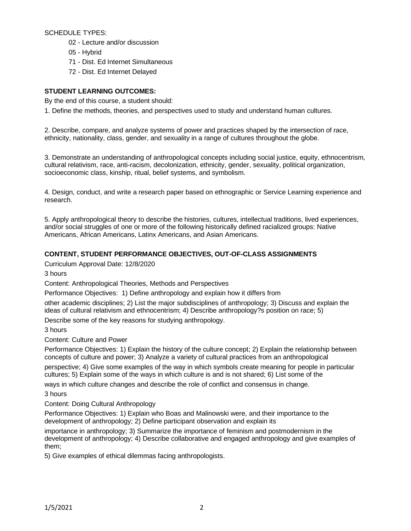SCHEDULE TYPES:

- 02 Lecture and/or discussion
- 05 Hybrid
- 71 Dist. Ed Internet Simultaneous
- 72 Dist. Ed Internet Delayed

## **STUDENT LEARNING OUTCOMES:**

By the end of this course, a student should:

1. Define the methods, theories, and perspectives used to study and understand human cultures.

2. Describe, compare, and analyze systems of power and practices shaped by the intersection of race, ethnicity, nationality, class, gender, and sexuality in a range of cultures throughout the globe.

3. Demonstrate an understanding of anthropological concepts including social justice, equity, ethnocentrism, cultural relativism, race, anti-racism, decolonization, ethnicity, gender, sexuality, political organization, socioeconomic class, kinship, ritual, belief systems, and symbolism.

4. Design, conduct, and write a research paper based on ethnographic or Service Learning experience and research.

5. Apply anthropological theory to describe the histories, cultures, intellectual traditions, lived experiences, and/or social struggles of one or more of the following historically defined racialized groups: Native Americans, African Americans, Latinx Americans, and Asian Americans.

## **CONTENT, STUDENT PERFORMANCE OBJECTIVES, OUT-OF-CLASS ASSIGNMENTS**

Curriculum Approval Date: 12/8/2020

3 hours

Content: Anthropological Theories, Methods and Perspectives

Performance Objectives: 1) Define anthropology and explain how it differs from

other academic disciplines; 2) List the major subdisciplines of anthropology; 3) Discuss and explain the ideas of cultural relativism and ethnocentrism; 4) Describe anthropology?s position on race; 5)

Describe some of the key reasons for studying anthropology.

#### 3 hours

Content: Culture and Power

Performance Objectives: 1) Explain the history of the culture concept; 2) Explain the relationship between concepts of culture and power; 3) Analyze a variety of cultural practices from an anthropological perspective; 4) Give some examples of the way in which symbols create meaning for people in particular cultures; 5) Explain some of the ways in which culture is and is not shared; 6) List some of the

ways in which culture changes and describe the role of conflict and consensus in change.

3 hours

Content: Doing Cultural Anthropology

Performance Objectives: 1) Explain who Boas and Malinowski were, and their importance to the development of anthropology; 2) Define participant observation and explain its

importance in anthropology; 3) Summarize the importance of feminism and postmodernism in the development of anthropology; 4) Describe collaborative and engaged anthropology and give examples of them;

5) Give examples of ethical dilemmas facing anthropologists.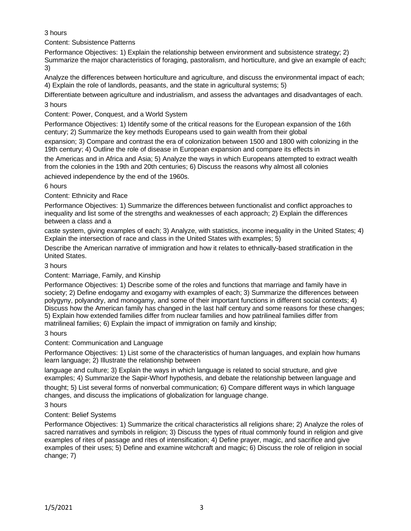## 3 hours

Content: Subsistence Patterns

Performance Objectives: 1) Explain the relationship between environment and subsistence strategy; 2) Summarize the major characteristics of foraging, pastoralism, and horticulture, and give an example of each; 3)

Analyze the differences between horticulture and agriculture, and discuss the environmental impact of each; 4) Explain the role of landlords, peasants, and the state in agricultural systems; 5)

Differentiate between agriculture and industrialism, and assess the advantages and disadvantages of each.

## 3 hours

Content: Power, Conquest, and a World System

Performance Objectives: 1) Identify some of the critical reasons for the European expansion of the 16th century; 2) Summarize the key methods Europeans used to gain wealth from their global

expansion; 3) Compare and contrast the era of colonization between 1500 and 1800 with colonizing in the 19th century; 4) Outline the role of disease in European expansion and compare its effects in

the Americas and in Africa and Asia; 5) Analyze the ways in which Europeans attempted to extract wealth from the colonies in the 19th and 20th centuries; 6) Discuss the reasons why almost all colonies

achieved independence by the end of the 1960s.

## 6 hours

Content: Ethnicity and Race

Performance Objectives: 1) Summarize the differences between functionalist and conflict approaches to inequality and list some of the strengths and weaknesses of each approach; 2) Explain the differences between a class and a

caste system, giving examples of each; 3) Analyze, with statistics, income inequality in the United States; 4) Explain the intersection of race and class in the United States with examples; 5)

Describe the American narrative of immigration and how it relates to ethnically-based stratification in the United States.

## 3 hours

#### Content: Marriage, Family, and Kinship

Performance Objectives: 1) Describe some of the roles and functions that marriage and family have in society; 2) Define endogamy and exogamy with examples of each; 3) Summarize the differences between polygyny, polyandry, and monogamy, and some of their important functions in different social contexts; 4) Discuss how the American family has changed in the last half century and some reasons for these changes; 5) Explain how extended families differ from nuclear families and how patrilineal families differ from matrilineal families; 6) Explain the impact of immigration on family and kinship;

#### 3 hours

Content: Communication and Language

Performance Objectives: 1) List some of the characteristics of human languages, and explain how humans learn language; 2) Illustrate the relationship between

language and culture; 3) Explain the ways in which language is related to social structure, and give examples; 4) Summarize the Sapir-Whorf hypothesis, and debate the relationship between language and

thought; 5) List several forms of nonverbal communication; 6) Compare different ways in which language changes, and discuss the implications of globalization for language change.

3 hours

## Content: Belief Systems

Performance Objectives: 1) Summarize the critical characteristics all religions share; 2) Analyze the roles of sacred narratives and symbols in religion; 3) Discuss the types of ritual commonly found in religion and give examples of rites of passage and rites of intensification; 4) Define prayer, magic, and sacrifice and give examples of their uses; 5) Define and examine witchcraft and magic; 6) Discuss the role of religion in social change; 7)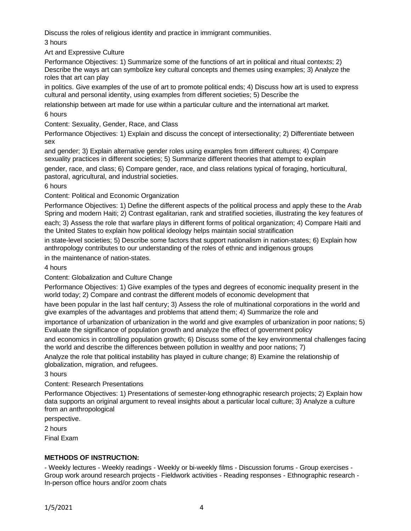Discuss the roles of religious identity and practice in immigrant communities.

3 hours

Art and Expressive Culture

Performance Objectives: 1) Summarize some of the functions of art in political and ritual contexts; 2) Describe the ways art can symbolize key cultural concepts and themes using examples; 3) Analyze the roles that art can play

in politics. Give examples of the use of art to promote political ends; 4) Discuss how art is used to express cultural and personal identity, using examples from different societies; 5) Describe the

relationship between art made for use within a particular culture and the international art market.

6 hours

Content: Sexuality, Gender, Race, and Class

Performance Objectives: 1) Explain and discuss the concept of intersectionality; 2) Differentiate between sex

and gender; 3) Explain alternative gender roles using examples from different cultures; 4) Compare sexuality practices in different societies; 5) Summarize different theories that attempt to explain

gender, race, and class; 6) Compare gender, race, and class relations typical of foraging, horticultural, pastoral, agricultural, and industrial societies.

6 hours

Content: Political and Economic Organization

Performance Objectives: 1) Define the different aspects of the political process and apply these to the Arab Spring and modern Haiti; 2) Contrast egalitarian, rank and stratified societies, illustrating the key features of each; 3) Assess the role that warfare plays in different forms of political organization; 4) Compare Haiti and the United States to explain how political ideology helps maintain social stratification

in state-level societies; 5) Describe some factors that support nationalism in nation-states; 6) Explain how anthropology contributes to our understanding of the roles of ethnic and indigenous groups

in the maintenance of nation-states.

4 hours

Content: Globalization and Culture Change

Performance Objectives: 1) Give examples of the types and degrees of economic inequality present in the world today; 2) Compare and contrast the different models of economic development that

have been popular in the last half century; 3) Assess the role of multinational corporations in the world and give examples of the advantages and problems that attend them; 4) Summarize the role and

importance of urbanization of urbanization in the world and give examples of urbanization in poor nations; 5) Evaluate the significance of population growth and analyze the effect of government policy

and economics in controlling population growth; 6) Discuss some of the key environmental challenges facing the world and describe the differences between pollution in wealthy and poor nations; 7)

Analyze the role that political instability has played in culture change; 8) Examine the relationship of globalization, migration, and refugees.

3 hours

Content: Research Presentations

Performance Objectives: 1) Presentations of semester-long ethnographic research projects; 2) Explain how data supports an original argument to reveal insights about a particular local culture; 3) Analyze a culture from an anthropological

perspective.

2 hours

Final Exam

# **METHODS OF INSTRUCTION:**

- Weekly lectures - Weekly readings - Weekly or bi-weekly films - Discussion forums - Group exercises - Group work around research projects - Fieldwork activities - Reading responses - Ethnographic research - In-person office hours and/or zoom chats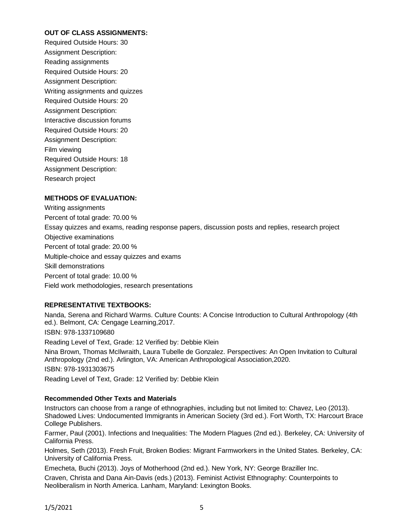#### **OUT OF CLASS ASSIGNMENTS:**

Required Outside Hours: 30 Assignment Description: Reading assignments Required Outside Hours: 20 Assignment Description: Writing assignments and quizzes Required Outside Hours: 20 Assignment Description: Interactive discussion forums Required Outside Hours: 20 Assignment Description: Film viewing Required Outside Hours: 18 Assignment Description: Research project

## **METHODS OF EVALUATION:**

Writing assignments Percent of total grade: 70.00 % Essay quizzes and exams, reading response papers, discussion posts and replies, research project Objective examinations Percent of total grade: 20.00 % Multiple-choice and essay quizzes and exams Skill demonstrations Percent of total grade: 10.00 % Field work methodologies, research presentations

#### **REPRESENTATIVE TEXTBOOKS:**

Nanda, Serena and Richard Warms. Culture Counts: A Concise Introduction to Cultural Anthropology (4th ed.). Belmont, CA: Cengage Learning,2017.

ISBN: 978-1337109680

Reading Level of Text, Grade: 12 Verified by: Debbie Klein

Nina Brown, Thomas McIlwraith, Laura Tubelle de Gonzalez. Perspectives: An Open Invitation to Cultural Anthropology (2nd ed.). Arlington, VA: American Anthropological Association,2020. ISBN: 978-1931303675 Reading Level of Text, Grade: 12 Verified by: Debbie Klein

#### **Recommended Other Texts and Materials**

Instructors can choose from a range of ethnographies, including but not limited to: Chavez, Leo (2013). Shadowed Lives: Undocumented Immigrants in American Society (3rd ed.). Fort Worth, TX: Harcourt Brace College Publishers.

Farmer, Paul (2001). Infections and Inequalities: The Modern Plagues (2nd ed.). Berkeley, CA: University of California Press.

Holmes, Seth (2013). Fresh Fruit, Broken Bodies: Migrant Farmworkers in the United States. Berkeley, CA: University of California Press.

Emecheta, Buchi (2013). Joys of Motherhood (2nd ed.). New York, NY: George Braziller Inc. Craven, Christa and Dana Ain-Davis (eds.) (2013). Feminist Activist Ethnography: Counterpoints to Neoliberalism in North America. Lanham, Maryland: Lexington Books.